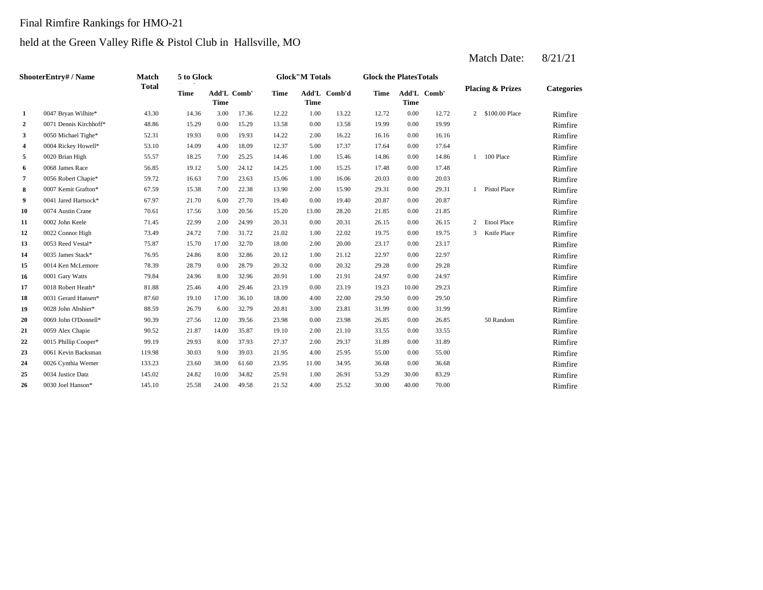### Final Rimfire Rankings for HMO-21

### held at the Green Valley Rifle & Pistol Club in Hallsville, MO

2 0.00 13.58 19.99 0.00 15.29 13.58 0.00 15.28 13.58 19.99 **3** 2.00 16.22 16.16 16.16 16.16 16.16 16.16 17.16.16 16.16 16.16 16.16 17.16.16 **4**  $0.004$  Rickey Howell\* 53.10 14.09 4.00 18.09 12.37 5.00 17.37 17.64 5 0020 Brian High 55.57 18.25 7.00 25.25 14.46 1.00 15.46 14.86 **6** 1.00 15.25 17.48 **6** 19.12 1.12 1.12 1.12 1.12 1.00 15.25 1.7.48 **7** 0056 Robert Chapie\* 59.72 16.63 7.00 23.63 15.06 1.00 16.06 20.03 **8** 2.00 **2.31** 2.00 **2.31** 2.00 **2.33** 2.00 **2.00 2.00 2.31** 2.00 **2.31** 2.00 **2.31 9** 0.041 Jared Hartsock\* 67.97 21.70 6.00 27.70 19.40 0.00 19.40 20.87 **10** 13.00 28.20 **13.00 21.85 16.20 17.56 15.20 13.00 28.20 21.85** 11 0.00 20.31 bln Keele 71.45 22.99 2.00 24.99 20.31 0.00 20.31 26.15 12 0022 Connor High <br>
13.49 24.72 7.00 31.72 21.02 1.00 22.02 19.75 **13** 2.00 23.17 **14** 0035 James Stack\* 76.95 24.86 8.00 32.86 20.12 1.00 21.12 22.97 15 0014 Ken McLemore 78.39 28.79 0.00 28.79 20.32 0.00 20.32 29.28 **16** 0001 Gary Watts 79.84 24.96 8.00 32.96 20.91 1.00 21.91 24.97 **17** 0018 Robert Heath\* 81.88 25.46 4.00 29.46 23.19 0.00 23.19 19.23 **18** 4.00 **22.00 18.60 19.10 17.00 26.10 18.00 4.00 22.00 29.50 19**  $0028$  John Abshier\* 88.59  $26.79$   $6.00$   $32.79$   $20.81$   $3.00$   $23.81$   $31.99$ **20** 0.00 23.98 **20.85 20.91 20.91 20.939 27.56 12.00 39.56 23.98 20.00 23.98 26.85** 21 0059 Alex Chapie  $90.52$  21.87 14.00 35.87 19.10 2.00 21.10 33.55 **22** 0015 Phillip Cooper\* 99.19 29.93 8.00 37.93 27.37 2.00 29.37 31.89 **23** 4.00 **25.95** 55.00 **261** Kevin Backsman **119.98** 30.03 9.00 39.03 21.95 4.00 25.95 55.00 24 0026 Cynthia Werner 133.23 23.60 38.00 61.60 23.95 11.00 34.95 36.68 **25** 1.00 34.32 **1.00** 1.00 **26.91 25.29 25.29 25.29 25.29 25.29 26.91 26.91 26.91 26.91 25.29 26 20** 4.00 **200 10el Hanson\* 245.10 25.58 24.00 49.58 21.52 4.00 25.52 30.00 ShooterEntry# / Name Match Total 5 to Glock Time Glock"M Totals Glock the PlatesTotals Placing & Prizes Categories Time Add'L Comb'd Time Add'L Comb' Time** Add'L Comb' **Time Add'L Time Time 1** 0047 Bryan Wilhite\* 43.30 14.36 3.00 17.36 12.22 1.00 13.22 12.72 0.00 12.72 2 \$100.00 Place Rimfire 0071 Dennis Kirchhoff\* 18.86 15.29 0.00 15.29 13.58 0.00 13.58 19.99 0.00 19.99 Nimfire 0050 Michael Tighe\* 52.31 19.93 0.00 19.93 14.22 2.00 16.22 16.16 0.00 16.16 16.16 Nimfire 0004 Rickey Howell\* 53.10 14.09 4.00 18.09 12.37 5.00 17.37 17.64 0.00 17.64 Mimfire 0020 Brian High 55.57 18.25 7.00 25.25 14.46 1.00 15.46 14.86 0.00 14.86 1 100 Place Rimfire 0068 James Race 56.85 19.12 5.00 24.12 14.25 1.00 15.25 17.48 0.00 17.48 11.48 Rimfire 0056 Robert Chapie\* 59.72 16.63 7.00 23.63 15.06 1.00 16.06 20.03 0.00 20.03 1.00 Rimfire 0007 Kemit Grafton\* 67.59 15.38 7.00 22.38 13.90 2.00 15.90 29.31 0.00 29.31 1 Pistol Place Rimfire 0041 Jared Hartsock\* 67.97 21.70 6.00 27.70 19.40 0.00 19.40 20.87 0.00 20.87 111 Rimfire 0074 Austin Crane 2010 10:56 17.56 3.00 20.56 15.20 13.00 28.20 21.85 0.00 21.85 Rimfire 0002 John Keele 21.45 22.99 2.00 24.99 20.31 0.00 20.31 26.15 0.00 26.15 2 Etool Place Rimfire 0022 Connor High 23.49 24.72 7.00 31.72 21.02 1.00 22.02 19.75 0.00 19.75 3 Knife Place Rimfire 0053 Reed Vestal\* 25.87 15.70 17.00 32.70 18.00 2.00 20.00 23.17 0.00 23.17 17 Rimfire 0035 James Stack\* 76.95 24.86 8.00 32.86 20.12 1.00 21.12 22.97 0.00 22.97 **Rimfire** 0014 Ken McLemore 28.39 28.79 0.00 28.79 20.32 0.00 20.32 29.28 0.00 29.28 2028 Rimfire 0001 Gary Watts **79.84** 24.96 8.00 32.96 20.91 1.00 21.91 24.97 0.00 24.97 **Rimfire** 0018 Robert Heath\* 81.88 25.46 4.00 29.46 23.19 0.00 23.19 19.23 10.00 29.23 10.00 Rimfire 0031 Gerard Hansen\* 87.60 19.10 17.00 36.10 18.00 4.00 22.00 29.50 0.00 29.50 **Rimfire** 0028 John Abshier\* 88.59 26.79 6.00 32.79 20.81 3.00 23.81 31.99 0.00 31.99 Nimfire 0069 John O'Donnell\* 90.39 27.56 12.00 39.56 23.98 0.00 23.98 26.85 0.00 26.85 50 Random Rimfire 0059 Alex Chapie 6 90.52 21.87 14.00 35.87 19.10 2.00 21.10 33.55 0.00 33.55 Rimfire 0015 Phillip Cooper\* 99.19 29.93 8.00 37.93 27.37 2.00 29.37 31.89 0.00 31.89 Ximfire 0061 Kevin Backsman 119.98 30.03 9.00 39.03 21.95 4.00 25.95 55.00 0.00 55.00 Mimfire 0026 Cynthia Werner 133.23 23.60 38.00 61.60 23.95 11.00 34.95 36.68 0.00 36.68 11.00 Rimfire 0034 Justice Datz 145.02 24.82 10.00 34.82 25.91 1.00 26.91 53.29 30.00 83.29 Rimfire 0030 Joel Hanson\* 145.10 25.58 24.00 49.58 21.52 4.00 25.52 30.00 40.00 70.00 Rimfire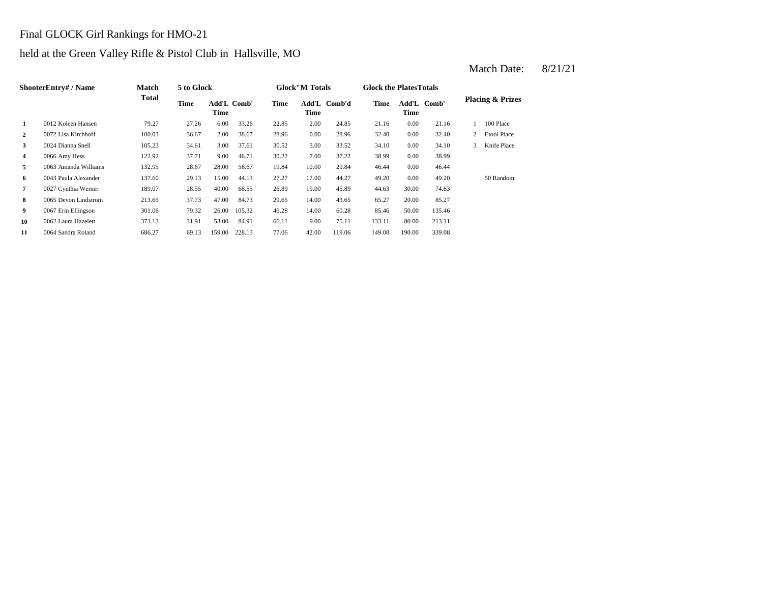### Final GLOCK Girl Rankings for HMO-21

### held at the Green Valley Rifle & Pistol Club in Hallsville, MO

|                | ShooterEntry# / Name | <b>Match</b> | 5 to Glock |                            |        |             | <b>Glock</b> "M Totals |              | <b>Glock the Plates Totals</b> |        |             |   |                             |
|----------------|----------------------|--------------|------------|----------------------------|--------|-------------|------------------------|--------------|--------------------------------|--------|-------------|---|-----------------------------|
|                |                      | <b>Total</b> | Time       | <b>Add'L Comb'</b><br>Time |        | <b>Time</b> | Time                   | Add'L Comb'd | Time                           | Time   | Add'L Comb' |   | <b>Placing &amp; Prizes</b> |
| 1              | 0012 Koleen Hansen   | 79.27        | 27.26      | 6.00                       | 33.26  | 22.85       | 2.00                   | 24.85        | 21.16                          | 0.00   | 21.16       |   | 100 Place                   |
| $\overline{2}$ | 0072 Lisa Kirchhoff  | 100.03       | 36.67      | 2.00                       | 38.67  | 28.96       | 0.00                   | 28.96        | 32.40                          | 0.00   | 32.40       | 2 | <b>Etool Place</b>          |
| 3              | 0024 Dianna Snell    | 105.23       | 34.61      | 3.00                       | 37.61  | 30.52       | 3.00                   | 33.52        | 34.10                          | 0.00   | 34.10       | 3 | Knife Place                 |
| 4              | 0066 Amy Hess        | 122.92       | 37.71      | 9.00                       | 46.71  | 30.22       | 7.00                   | 37.22        | 38.99                          | 0.00   | 38.99       |   |                             |
| 5              | 0063 Amanda Williams | 132.95       | 28.67      | 28.00                      | 56.67  | 19.84       | 10.00                  | 29.84        | 46.44                          | 0.00   | 46.44       |   |                             |
| 6              | 0043 Paula Alexander | 137.60       | 29.13      | 15.00                      | 44.13  | 27.27       | 17.00                  | 44.27        | 49.20                          | 0.00   | 49.20       |   | 50 Random                   |
| 7              | 0027 Cynthia Werner  | 189.07       | 28.55      | 40.00                      | 68.55  | 26.89       | 19.00                  | 45.89        | 44.63                          | 30.00  | 74.63       |   |                             |
| 8              | 0065 Devon Lindstrom | 213.65       | 37.73      | 47.00                      | 84.73  | 29.65       | 14.00                  | 43.65        | 65.27                          | 20.00  | 85.27       |   |                             |
| 9              | 0067 Erin Ellingson  | 301.06       | 79.32      | 26.00                      | 105.32 | 46.28       | 14.00                  | 60.28        | 85.46                          | 50.00  | 135.46      |   |                             |
| 10             | 0062 Laura Hazelett  | 373.13       | 31.91      | 53.00                      | 84.91  | 66.11       | 9.00                   | 75.11        | 133.11                         | 80.00  | 213.11      |   |                             |
| 11             | 0064 Sandra Roland   | 686.27       | 69.13      | 159.00                     | 228.13 | 77.06       | 42.00                  | 119.06       | 149.08                         | 190.00 | 339.08      |   |                             |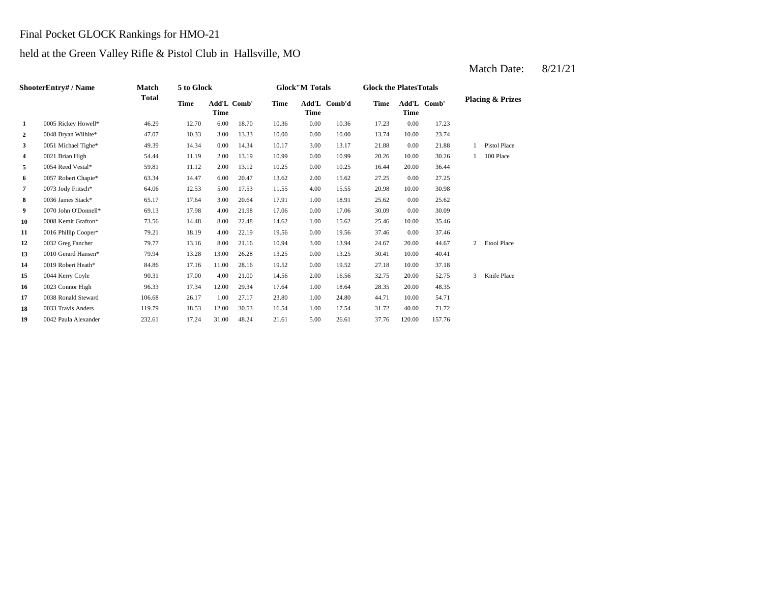### Final Pocket GLOCK Rankings for HMO-21

### held at the Green Valley Rifle & Pistol Club in Hallsville, MO

|                | ShooterEntry#/Name   | Match        | 5 to Glock |                                   |       |             | <b>Glock"M Totals</b> |              | <b>Glock the PlatesTotals</b> |             |             |   |                             |
|----------------|----------------------|--------------|------------|-----------------------------------|-------|-------------|-----------------------|--------------|-------------------------------|-------------|-------------|---|-----------------------------|
|                |                      | <b>Total</b> | Time       | <b>Add'L Comb'</b><br><b>Time</b> |       | <b>Time</b> | <b>Time</b>           | Add'L Comb'd | Time                          | <b>Time</b> | Add'L Comb' |   | <b>Placing &amp; Prizes</b> |
| $\mathbf{1}$   | 0005 Rickey Howell*  | 46.29        | 12.70      | 6.00                              | 18.70 | 10.36       | 0.00                  | 10.36        | 17.23                         | 0.00        | 17.23       |   |                             |
| 2              | 0048 Bryan Wilhite*  | 47.07        | 10.33      | 3.00                              | 13.33 | 10.00       | 0.00                  | 10.00        | 13.74                         | 10.00       | 23.74       |   |                             |
| 3              | 0051 Michael Tighe*  | 49.39        | 14.34      | 0.00                              | 14.34 | 10.17       | 3.00                  | 13.17        | 21.88                         | 0.00        | 21.88       |   | <b>Pistol Place</b>         |
| 4              | 0021 Brian High      | 54.44        | 11.19      | 2.00                              | 13.19 | 10.99       | 0.00                  | 10.99        | 20.26                         | 10.00       | 30.26       |   | 100 Place                   |
| 5              | 0054 Reed Vestal*    | 59.81        | 11.12      | 2.00                              | 13.12 | 10.25       | 0.00                  | 10.25        | 16.44                         | 20.00       | 36.44       |   |                             |
| 6              | 0057 Robert Chapie*  | 63.34        | 14.47      | 6.00                              | 20.47 | 13.62       | 2.00                  | 15.62        | 27.25                         | 0.00        | 27.25       |   |                             |
| $\overline{7}$ | 0073 Jody Fritsch*   | 64.06        | 12.53      | 5.00                              | 17.53 | 11.55       | 4.00                  | 15.55        | 20.98                         | 10.00       | 30.98       |   |                             |
| 8              | 0036 James Stack*    | 65.17        | 17.64      | 3.00                              | 20.64 | 17.91       | 1.00                  | 18.91        | 25.62                         | 0.00        | 25.62       |   |                             |
| 9              | 0070 John O'Donnell* | 69.13        | 17.98      | 4.00                              | 21.98 | 17.06       | 0.00                  | 17.06        | 30.09                         | 0.00        | 30.09       |   |                             |
| 10             | 0008 Kemit Grafton*  | 73.56        | 14.48      | 8.00                              | 22.48 | 14.62       | 1.00                  | 15.62        | 25.46                         | 10.00       | 35.46       |   |                             |
| 11             | 0016 Phillip Cooper* | 79.21        | 18.19      | 4.00                              | 22.19 | 19.56       | 0.00                  | 19.56        | 37.46                         | 0.00        | 37.46       |   |                             |
| 12             | 0032 Greg Fancher    | 79.77        | 13.16      | 8.00                              | 21.16 | 10.94       | 3.00                  | 13.94        | 24.67                         | 20.00       | 44.67       | 2 | <b>Etool Place</b>          |
| 13             | 0010 Gerard Hansen*  | 79.94        | 13.28      | 13.00                             | 26.28 | 13.25       | 0.00                  | 13.25        | 30.41                         | 10.00       | 40.41       |   |                             |
| 14             | 0019 Robert Heath*   | 84.86        | 17.16      | 11.00                             | 28.16 | 19.52       | 0.00                  | 19.52        | 27.18                         | 10.00       | 37.18       |   |                             |
| 15             | 0044 Kerry Coyle     | 90.31        | 17.00      | 4.00                              | 21.00 | 14.56       | 2.00                  | 16.56        | 32.75                         | 20.00       | 52.75       | 3 | Knife Place                 |
| 16             | 0023 Connor High     | 96.33        | 17.34      | 12.00                             | 29.34 | 17.64       | 1.00                  | 18.64        | 28.35                         | 20.00       | 48.35       |   |                             |
| 17             | 0038 Ronald Steward  | 106.68       | 26.17      | 1.00                              | 27.17 | 23.80       | 1.00                  | 24.80        | 44.71                         | 10.00       | 54.71       |   |                             |
| 18             | 0033 Travis Anders   | 119.79       | 18.53      | 12.00                             | 30.53 | 16.54       | 1.00                  | 17.54        | 31.72                         | 40.00       | 71.72       |   |                             |
| 19             | 0042 Paula Alexander | 232.61       | 17.24      | 31.00                             | 48.24 | 21.61       | 5.00                  | 26.61        | 37.76                         | 120.00      | 157.76      |   |                             |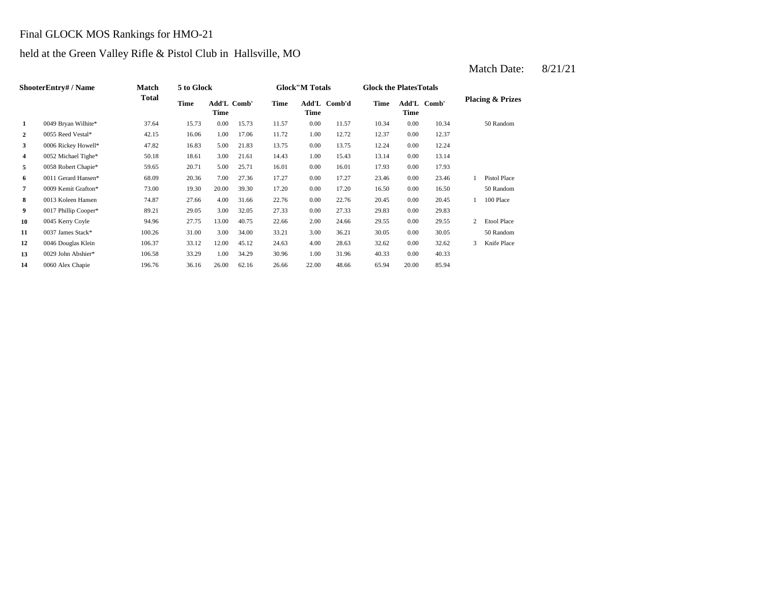### Final GLOCK MOS Rankings for HMO-21

### held at the Green Valley Rifle & Pistol Club in Hallsville, MO

|                | ShooterEntry# / Name | Match        | 5 to Glock |                     |       |       | <b>Glock</b> "M Totals |              | <b>Glock the Plates Totals</b> |       |             |   |                             |
|----------------|----------------------|--------------|------------|---------------------|-------|-------|------------------------|--------------|--------------------------------|-------|-------------|---|-----------------------------|
|                |                      | <b>Total</b> | Time       | Add'L Comb'<br>Time |       | Time  | Time                   | Add'L Comb'd | Time                           | Time  | Add'L Comb' |   | <b>Placing &amp; Prizes</b> |
| 1              | 0049 Bryan Wilhite*  | 37.64        | 15.73      | 0.00                | 15.73 | 11.57 | 0.00                   | 11.57        | 10.34                          | 0.00  | 10.34       |   | 50 Random                   |
| $\overline{2}$ | 0055 Reed Vestal*    | 42.15        | 16.06      | 1.00                | 17.06 | 11.72 | 1.00                   | 12.72        | 12.37                          | 0.00  | 12.37       |   |                             |
| 3              | 0006 Rickey Howell*  | 47.82        | 16.83      | 5.00                | 21.83 | 13.75 | 0.00                   | 13.75        | 12.24                          | 0.00  | 12.24       |   |                             |
| 4              | 0052 Michael Tighe*  | 50.18        | 18.61      | 3.00                | 21.61 | 14.43 | 1.00                   | 15.43        | 13.14                          | 0.00  | 13.14       |   |                             |
| 5              | 0058 Robert Chapie*  | 59.65        | 20.71      | 5.00                | 25.71 | 16.01 | 0.00                   | 16.01        | 17.93                          | 0.00  | 17.93       |   |                             |
| 6              | 0011 Gerard Hansen*  | 68.09        | 20.36      | 7.00                | 27.36 | 17.27 | 0.00                   | 17.27        | 23.46                          | 0.00  | 23.46       |   | <b>Pistol Place</b>         |
| 7              | 0009 Kemit Grafton*  | 73.00        | 19.30      | 20.00               | 39.30 | 17.20 | 0.00                   | 17.20        | 16.50                          | 0.00  | 16.50       |   | 50 Random                   |
| 8              | 0013 Koleen Hansen   | 74.87        | 27.66      | 4.00                | 31.66 | 22.76 | 0.00                   | 22.76        | 20.45                          | 0.00  | 20.45       |   | 100 Place                   |
| 9              | 0017 Phillip Cooper* | 89.21        | 29.05      | 3.00                | 32.05 | 27.33 | 0.00                   | 27.33        | 29.83                          | 0.00  | 29.83       |   |                             |
| 10             | 0045 Kerry Coyle     | 94.96        | 27.75      | 13.00               | 40.75 | 22.66 | 2.00                   | 24.66        | 29.55                          | 0.00  | 29.55       | 2 | <b>Etool Place</b>          |
| 11             | 0037 James Stack*    | 100.26       | 31.00      | 3.00                | 34.00 | 33.21 | 3.00                   | 36.21        | 30.05                          | 0.00  | 30.05       |   | 50 Random                   |
| 12             | 0046 Douglas Klein   | 106.37       | 33.12      | 12.00               | 45.12 | 24.63 | 4.00                   | 28.63        | 32.62                          | 0.00  | 32.62       | 3 | Knife Place                 |
| 13             | 0029 John Abshier*   | 106.58       | 33.29      | 1.00                | 34.29 | 30.96 | 1.00                   | 31.96        | 40.33                          | 0.00  | 40.33       |   |                             |
| 14             | 0060 Alex Chapie     | 196.76       | 36.16      | 26.00               | 62.16 | 26.66 | 22.00                  | 48.66        | 65.94                          | 20.00 | 85.94       |   |                             |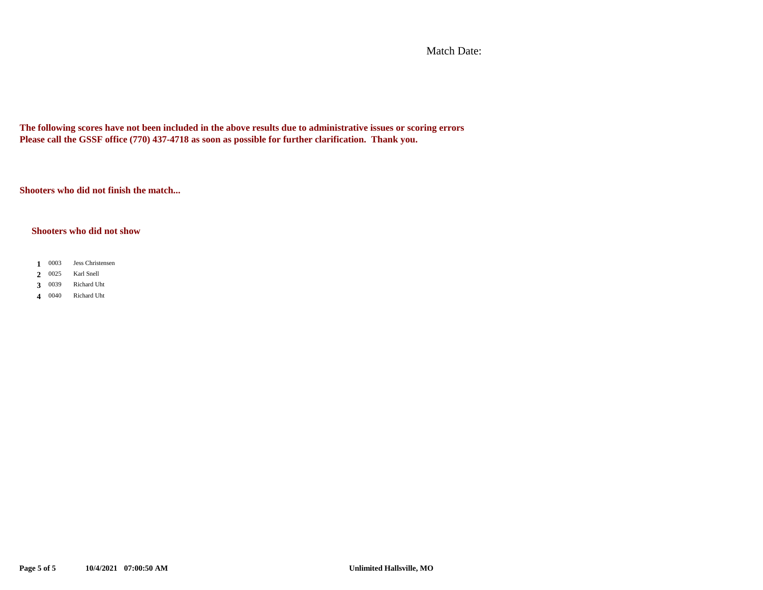Match Date:

**The following scores have not been included in the above results due to administrative issues or scoring errors Please call the GSSF office (770) 437-4718 as soon as possible for further clarification. Thank you.**

**Shooters who did not finish the match...**

### **Shooters who did not show**

- 1 0003 Jess Christensen
- 2 0025 Karl Snell
- 3 0039 **3** Richard Uht
- 0040 **4** Richard Uht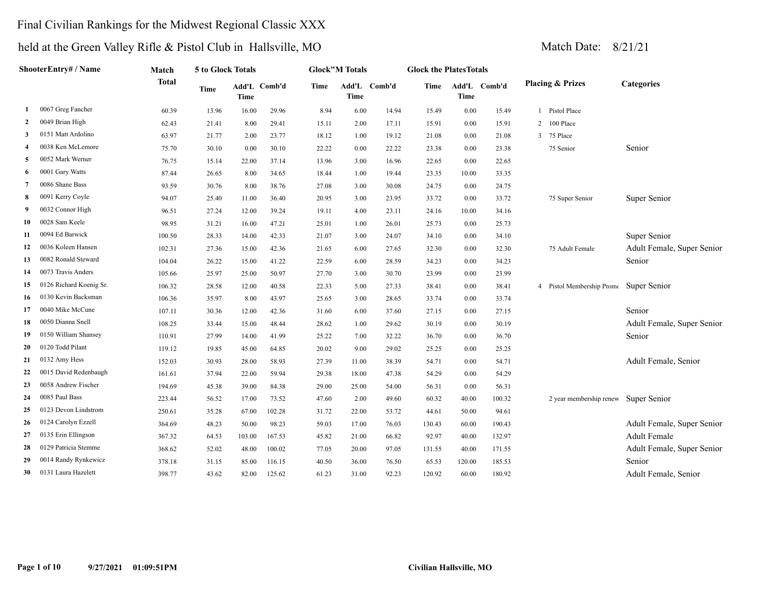### Final Civilian Rankings for the Midwest Regional Classic XXX

# held at the Green Valley Rifle & Pistol Club in Hallsville, MO Match Date: 8/21/21

**ShooterEntry# / Name**

|              | $\mathbb{R}$ at the Orech validy Kille $\alpha$ I istuit Club in Transville, INO |        |                   |                      |       |       |                        |              |                                |             |              | <i>vialum Dalu.</i>                    | Q/Z1/Z1                    |
|--------------|----------------------------------------------------------------------------------|--------|-------------------|----------------------|-------|-------|------------------------|--------------|--------------------------------|-------------|--------------|----------------------------------------|----------------------------|
|              | ShooterEntry# / Name                                                             | Match  | 5 to Glock Totals |                      |       |       | <b>Glock</b> "M Totals |              | <b>Glock the Plates Totals</b> |             |              |                                        |                            |
|              |                                                                                  | Total  | Time              | Add'L Comb'd<br>Time |       | Time  | Time                   | Add'L Comb'd | Time                           | <b>Time</b> | Add'L Comb'd | <b>Placing &amp; Prizes</b>            | <b>Categories</b>          |
|              | 0067 Greg Fancher                                                                | 60.39  | 13.96             | 16.00                | 29.96 | 8.94  | 6.00                   | 14.94        | 15.49                          | 0.00        | 15.49        | Pistol Place                           |                            |
| $\mathbf{2}$ | 0049 Brian High                                                                  | 62.43  | 21.41             | 8.00                 | 29.41 | 15.11 | 2.00                   | 17.11        | 15.91                          | $0.00\,$    | 15.91        | 2 100 Place                            |                            |
| 3            | 0151 Matt Ardolino                                                               | 63.97  | 21.77             | 2.00                 | 23.77 | 18.12 | 1.00                   | 19.12        | 21.08                          | 0.00        | 21.08        | 3 75 Place                             |                            |
| 4            | 0038 Ken McLemore                                                                | 75.70  | 30.10             | 0.00                 | 30.10 | 22.22 | 0.00                   | 22.22        | 23.38                          | $0.00\,$    | 23.38        | 75 Senior                              | Senior                     |
| 5            | 0052 Mark Werner                                                                 | 76.75  | 15.14             | 22.00                | 37.14 | 13.96 | 3.00                   | 16.96        | 22.65                          | 0.00        | 22.65        |                                        |                            |
|              | 6 0001 Gary Watts                                                                | 87.44  | 26.65             | 8.00                 | 34.65 | 18.44 | 1.00                   | 19.44        | 23.35                          | 10.00       | 33.35        |                                        |                            |
|              | 0086 Shane Bass                                                                  | 93.59  | 30.76             | 8.00                 | 38.76 | 27.08 | 3.00                   | 30.08        | 24.75                          | $0.00\,$    | 24.75        |                                        |                            |
| 8            | 0091 Kerry Coyle                                                                 | 94.07  | 25.40             | 11.00                | 36.40 | 20.95 | 3.00                   | 23.95        | 33.72                          | $0.00\,$    | 33.72        | 75 Super Senior                        | Super Senior               |
| 9            | 0032 Connor High                                                                 | 96.51  | 27.24             | 12.00                | 39.24 | 19.11 | 4.00                   | 23.11        | 24.16                          | 10.00       | 34.16        |                                        |                            |
| 10           | 0028 Sam Keele                                                                   | 98.95  | 31.21             | 16.00                | 47.21 | 25.01 | 1.00                   | 26.01        | 25.73                          | 0.00        | 25.73        |                                        |                            |
| 11           | 0094 Ed Barwick                                                                  | 100.50 | 28.33             | 14.00                | 42.33 | 21.07 | 3.00                   | 24.07        | 34.10                          | 0.00        | 34.10        |                                        | Super Senior               |
|              | 12 0036 Koleen Hansen                                                            | 102.31 | 27.36             | 15.00                | 42.36 | 21.65 | 6.00                   | 27.65        | 32.30                          | $0.00\,$    | 32.30        | 75 Adult Female                        | Adult Female, Super Senior |
| 13           | 0082 Ronald Steward                                                              | 104.04 | 26.22             | 15.00                | 41.22 | 22.59 | 6.00                   | 28.59        | 34.23                          | 0.00        | 34.23        |                                        | Senior                     |
| 14           | 0073 Travis Anders                                                               | 105.66 | 25.97             | 25.00                | 50.97 | 27.70 | 3.00                   | 30.70        | 23.99                          | 0.00        | 23.99        |                                        |                            |
|              | 15 0126 Richard Koenig Sr.                                                       | 106.32 | 28.58             | 12.00                | 40.58 | 22.33 | 5.00                   | 27.33        | 38.41                          | $0.00\,$    | 38.41        | 4 Pistol Membership Prome Super Senior |                            |

|    |                            | 1 V T . V T | $-0.44$ | 10.VV  | 71.ZZ  | <u>.</u> | v.vv  | 20.07 | ر ے. - ر | v.vv   | ر ے. - ر |                                        | <b>Delliol</b>             |
|----|----------------------------|-------------|---------|--------|--------|----------|-------|-------|----------|--------|----------|----------------------------------------|----------------------------|
| 14 | 0073 Travis Anders         | 105.66      | 25.97   | 25.00  | 50.97  | 27.70    | 3.00  | 30.70 | 23.99    | 0.00   | 23.99    |                                        |                            |
|    | 15 0126 Richard Koenig Sr. | 106.32      | 28.58   | 12.00  | 40.58  | 22.33    | 5.00  | 27.33 | 38.41    | 0.00   | 38.41    | 4 Pistol Membership Prome Super Senior |                            |
|    | 16 0130 Kevin Backsman     | 106.36      | 35.97   | 8.00   | 43.97  | 25.65    | 3.00  | 28.65 | 33.74    | 0.00   | 33.74    |                                        |                            |
|    | 0040 Mike McCune           | 107.11      | 30.36   | 12.00  | 42.36  | 31.60    | 6.00  | 37.60 | 27.15    | 0.00   | 27.15    |                                        | Senior                     |
| 18 | 0050 Dianna Snell          | 108.25      | 33.44   | 15.00  | 48.44  | 28.62    | 1.00  | 29.62 | 30.19    | 0.00   | 30.19    |                                        | Adult Female, Super Senior |
| 19 | 0150 William Shansey       | 110.91      | 27.99   | 14.00  | 41.99  | 25.22    | 7.00  | 32.22 | 36.70    | 0.00   | 36.70    |                                        | Senior                     |
| 20 | 0120 Todd Pilant           | 119.12      | 19.85   | 45.00  | 64.85  | 20.02    | 9.00  | 29.02 | 25.25    | 0.00   | 25.25    |                                        |                            |
|    | $21$ 0132 Amy Hess         | 152.03      | 30.93   | 28.00  | 58.93  | 27.39    | 11.00 | 38.39 | 54.71    | 0.00   | 54.71    |                                        | Adult Female, Senior       |
| 22 | 0015 David Redenbaugh      | 161.61      | 37.94   | 22.00  | 59.94  | 29.38    | 18.00 | 47.38 | 54.29    | 0.00   | 54.29    |                                        |                            |
| 23 | 0058 Andrew Fischer        | 194.69      | 45.38   | 39.00  | 84.38  | 29.00    | 25.00 | 54.00 | 56.31    | 0.00   | 56.31    |                                        |                            |
| 24 | 0085 Paul Bass             | 223.44      | 56.52   | 17.00  | 73.52  | 47.60    | 2.00  | 49.60 | 60.32    | 40.00  | 100.32   | 2 year membership renew                | Super Senior               |
| 25 | 0123 Devon Lindstrom       | 250.61      | 35.28   | 67.00  | 102.28 | 31.72    | 22.00 | 53.72 | 44.61    | 50.00  | 94.61    |                                        |                            |
|    | 26 0124 Carolyn Ezzell     | 364.69      | 48.23   | 50.00  | 98.23  | 59.03    | 17.00 | 76.03 | 130.43   | 60.00  | 190.43   |                                        | Adult Female, Super Senior |
| 27 | 0135 Erin Ellingson        | 367.32      | 64.53   | 103.00 | 167.53 | 45.82    | 21.00 | 66.82 | 92.97    | 40.00  | 132.97   |                                        | <b>Adult Female</b>        |
| 28 | 0129 Patricia Stemme       | 368.62      | 52.02   | 48.00  | 100.02 | 77.05    | 20.00 | 97.05 | 131.55   | 40.00  | 171.55   |                                        | Adult Female, Super Senior |
| 29 | 0014 Randy Rynkewicz       | 378.18      | 31.15   | 85.00  | 116.15 | 40.50    | 36.00 | 76.50 | 65.53    | 120.00 | 185.53   |                                        | Senior                     |
| 30 | 0131 Laura Hazelett        | 398.77      | 43.62   | 82.00  | 125.62 | 61.23    | 31.00 | 92.23 | 120.92   | 60.00  | 180.92   |                                        | Adult Female, Senior       |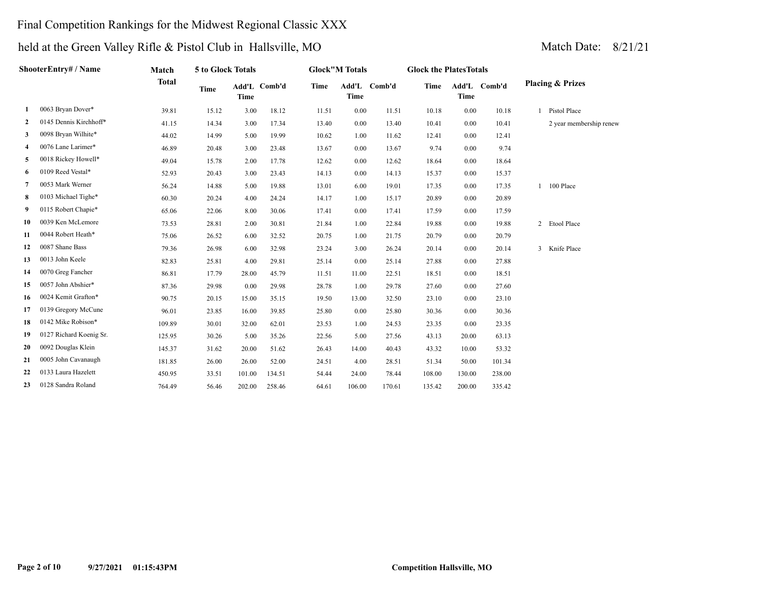### Final Competition Rankings for the Midwest Regional Classic XXX

|    | ShooterEntry# / Name    | Match        | 5 to Glock Totals |             |              |             | <b>Glock</b> "M Totals |              | <b>Glock the PlatesTotals</b> |             |              |                             |
|----|-------------------------|--------------|-------------------|-------------|--------------|-------------|------------------------|--------------|-------------------------------|-------------|--------------|-----------------------------|
|    |                         | <b>Total</b> | <b>Time</b>       | <b>Time</b> | Add'L Comb'd | <b>Time</b> | <b>Time</b>            | Add'L Comb'd | <b>Time</b>                   | <b>Time</b> | Add'L Comb'd | <b>Placing &amp; Prizes</b> |
| -1 | 0063 Bryan Dover*       | 39.81        | 15.12             | 3.00        | 18.12        | 11.51       | 0.00                   | 11.51        | 10.18                         | 0.00        | 10.18        | Pistol Place                |
| 2  | 0145 Dennis Kirchhoff*  | 41.15        | 14.34             | 3.00        | 17.34        | 13.40       | 0.00                   | 13.40        | 10.41                         | 0.00        | 10.41        | 2 year membership renew     |
| 3  | 0098 Bryan Wilhite*     | 44.02        | 14.99             | 5.00        | 19.99        | 10.62       | 1.00                   | 11.62        | 12.41                         | 0.00        | 12.41        |                             |
| 4  | 0076 Lane Larimer*      | 46.89        | 20.48             | 3.00        | 23.48        | 13.67       | 0.00                   | 13.67        | 9.74                          | 0.00        | 9.74         |                             |
| 5  | 0018 Rickey Howell*     | 49.04        | 15.78             | 2.00        | 17.78        | 12.62       | 0.00                   | 12.62        | 18.64                         | 0.00        | 18.64        |                             |
| 6  | 0109 Reed Vestal*       | 52.93        | 20.43             | 3.00        | 23.43        | 14.13       | 0.00                   | 14.13        | 15.37                         | 0.00        | 15.37        |                             |
| 7  | 0053 Mark Werner        | 56.24        | 14.88             | 5.00        | 19.88        | 13.01       | 6.00                   | 19.01        | 17.35                         | 0.00        | 17.35        | 100 Place                   |
| 8  | 0103 Michael Tighe*     | 60.30        | 20.24             | 4.00        | 24.24        | 14.17       | 1.00                   | 15.17        | 20.89                         | 0.00        | 20.89        |                             |
| 9  | 0115 Robert Chapie*     | 65.06        | 22.06             | 8.00        | 30.06        | 17.41       | 0.00                   | 17.41        | 17.59                         | 0.00        | 17.59        |                             |
| 10 | 0039 Ken McLemore       | 73.53        | 28.81             | 2.00        | 30.81        | 21.84       | 1.00                   | 22.84        | 19.88                         | 0.00        | 19.88        | 2 Etool Place               |
| 11 | 0044 Robert Heath*      | 75.06        | 26.52             | 6.00        | 32.52        | 20.75       | 1.00                   | 21.75        | 20.79                         | 0.00        | 20.79        |                             |
| 12 | 0087 Shane Bass         | 79.36        | 26.98             | 6.00        | 32.98        | 23.24       | 3.00                   | 26.24        | 20.14                         | 0.00        | 20.14        | 3 Knife Place               |
| 13 | 0013 John Keele         | 82.83        | 25.81             | 4.00        | 29.81        | 25.14       | 0.00                   | 25.14        | 27.88                         | 0.00        | 27.88        |                             |
| 14 | 0070 Greg Fancher       | 86.81        | 17.79             | 28.00       | 45.79        | 11.51       | 11.00                  | 22.51        | 18.51                         | 0.00        | 18.51        |                             |
| 15 | 0057 John Abshier*      | 87.36        | 29.98             | 0.00        | 29.98        | 28.78       | 1.00                   | 29.78        | 27.60                         | 0.00        | 27.60        |                             |
| 16 | 0024 Kemit Grafton*     | 90.75        | 20.15             | 15.00       | 35.15        | 19.50       | 13.00                  | 32.50        | 23.10                         | 0.00        | 23.10        |                             |
| 17 | 0139 Gregory McCune     | 96.01        | 23.85             | 16.00       | 39.85        | 25.80       | 0.00                   | 25.80        | 30.36                         | 0.00        | 30.36        |                             |
| 18 | 0142 Mike Robison*      | 109.89       | 30.01             | 32.00       | 62.01        | 23.53       | 1.00                   | 24.53        | 23.35                         | 0.00        | 23.35        |                             |
| 19 | 0127 Richard Koenig Sr. | 125.95       | 30.26             | 5.00        | 35.26        | 22.56       | 5.00                   | 27.56        | 43.13                         | 20.00       | 63.13        |                             |
| 20 | 0092 Douglas Klein      | 145.37       | 31.62             | 20.00       | 51.62        | 26.43       | 14.00                  | 40.43        | 43.32                         | 10.00       | 53.32        |                             |
| 21 | 0005 John Cavanaugh     | 181.85       | 26.00             | 26.00       | 52.00        | 24.51       | 4.00                   | 28.51        | 51.34                         | 50.00       | 101.34       |                             |
| 22 | 0133 Laura Hazelett     | 450.95       | 33.51             | 101.00      | 134.51       | 54.44       | 24.00                  | 78.44        | 108.00                        | 130.00      | 238.00       |                             |
| 23 | 0128 Sandra Roland      | 764.49       | 56.46             | 202.00      | 258.46       | 64.61       | 106.00                 | 170.61       | 135.42                        | 200.00      | 335.42       |                             |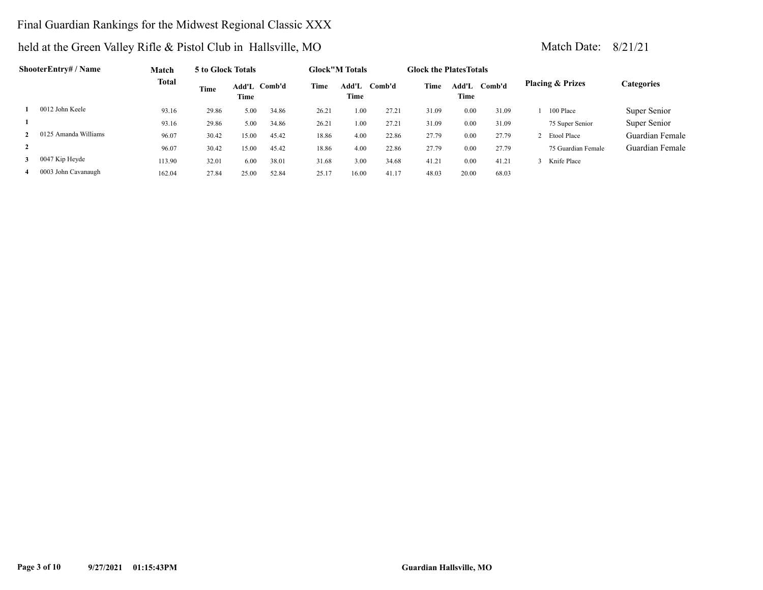### Final Guardian Rankings for the Midwest Regional Classic XXX

|                | ShooterEntry# / Name | Match  | 5 to Glock Totals |                      |       |       | <b>Glock"M Totals</b> |        | <b>Glock the PlatesTotals</b> |               |        |                             |                 |
|----------------|----------------------|--------|-------------------|----------------------|-------|-------|-----------------------|--------|-------------------------------|---------------|--------|-----------------------------|-----------------|
|                |                      | Total  | Time              | Add'L Comb'd<br>Time |       | Time  | Add'L<br>Time         | Comb'd | Time                          | Add'L<br>Time | Comb'd | <b>Placing &amp; Prizes</b> | Categories      |
|                | 0012 John Keele      | 93.16  | 29.86             | 5.00                 | 34.86 | 26.21 | 1.00                  | 27.21  | 31.09                         | 0.00          | 31.09  | 100 Place                   | Super Senior    |
|                |                      | 93.16  | 29.86             | 5.00                 | 34.86 | 26.21 | 1.00                  | 27.21  | 31.09                         | 0.00          | 31.09  | 75 Super Senior             | Super Senior    |
|                | 0125 Amanda Williams | 96.07  | 30.42             | 15.00                | 45.42 | 18.86 | 4.00                  | 22.86  | 27.79                         | 0.00          | 27.79  | 2 Etool Place               | Guardian Female |
| $\overline{2}$ |                      | 96.07  | 30.42             | 15.00                | 45.42 | 18.86 | 4.00                  | 22.86  | 27.79                         | 0.00          | 27.79  | 75 Guardian Female          | Guardian Female |
|                | $3$ 0047 Kip Heyde   | 113.90 | 32.01             | 6.00                 | 38.01 | 31.68 | 3.00                  | 34.68  | 41.21                         | 0.00          | 41.21  | Knife Place                 |                 |
|                | 0003 John Cavanaugh  | 162.04 | 27.84             | 25.00                | 52.84 | 25.17 | 16.00                 | 41.17  | 48.03                         | 20.00         | 68.03  |                             |                 |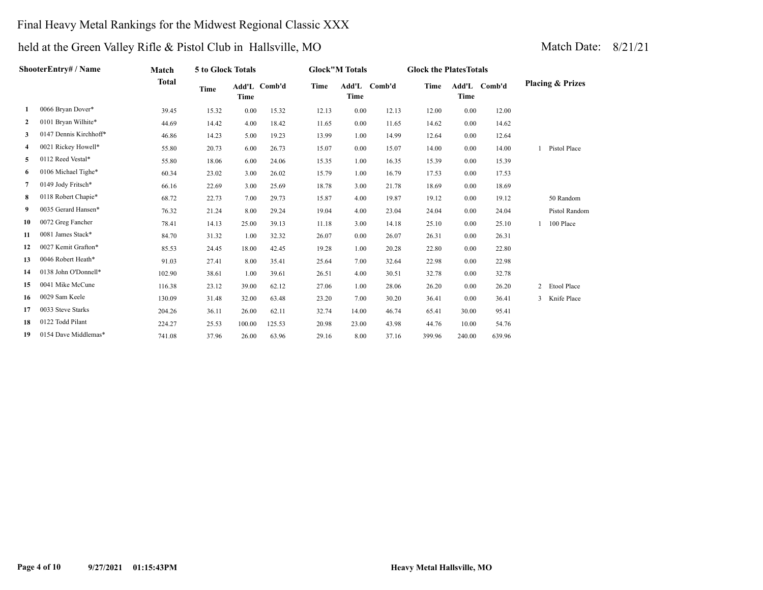### Final Heavy Metal Rankings for the Midwest Regional Classic XXX

|              | ShooterEntry# / Name   | Match        | 5 to Glock Totals |        |              |       | <b>Glock"M Totals</b> |              | <b>Glock the PlatesTotals</b> |             |              |                             |
|--------------|------------------------|--------------|-------------------|--------|--------------|-------|-----------------------|--------------|-------------------------------|-------------|--------------|-----------------------------|
|              |                        | <b>Total</b> | Time              | Time   | Add'L Comb'd | Time  | Time                  | Add'L Comb'd | Time                          | <b>Time</b> | Add'L Comb'd | <b>Placing &amp; Prizes</b> |
| 1            | 0066 Bryan Dover*      | 39.45        | 15.32             | 0.00   | 15.32        | 12.13 | 0.00                  | 12.13        | 12.00                         | 0.00        | 12.00        |                             |
| $\mathbf{2}$ | 0101 Bryan Wilhite*    | 44.69        | 14.42             | 4.00   | 18.42        | 11.65 | 0.00                  | 11.65        | 14.62                         | 0.00        | 14.62        |                             |
| 3            | 0147 Dennis Kirchhoff* | 46.86        | 14.23             | 5.00   | 19.23        | 13.99 | 1.00                  | 14.99        | 12.64                         | 0.00        | 12.64        |                             |
| 4            | 0021 Rickey Howell*    | 55.80        | 20.73             | 6.00   | 26.73        | 15.07 | 0.00                  | 15.07        | 14.00                         | 0.00        | 14.00        | Pistol Place                |
| 5            | 0112 Reed Vestal*      | 55.80        | 18.06             | 6.00   | 24.06        | 15.35 | 1.00                  | 16.35        | 15.39                         | 0.00        | 15.39        |                             |
| 6            | 0106 Michael Tighe*    | 60.34        | 23.02             | 3.00   | 26.02        | 15.79 | 1.00                  | 16.79        | 17.53                         | 0.00        | 17.53        |                             |
| $7^{\circ}$  | 0149 Jody Fritsch*     | 66.16        | 22.69             | 3.00   | 25.69        | 18.78 | 3.00                  | 21.78        | 18.69                         | 0.00        | 18.69        |                             |
| 8            | 0118 Robert Chapie*    | 68.72        | 22.73             | 7.00   | 29.73        | 15.87 | 4.00                  | 19.87        | 19.12                         | 0.00        | 19.12        | 50 Random                   |
| 9            | 0035 Gerard Hansen*    | 76.32        | 21.24             | 8.00   | 29.24        | 19.04 | 4.00                  | 23.04        | 24.04                         | 0.00        | 24.04        | Pistol Random               |
| 10           | 0072 Greg Fancher      | 78.41        | 14.13             | 25.00  | 39.13        | 11.18 | 3.00                  | 14.18        | 25.10                         | 0.00        | 25.10        | 100 Place                   |
| 11           | 0081 James Stack*      | 84.70        | 31.32             | 1.00   | 32.32        | 26.07 | 0.00                  | 26.07        | 26.31                         | 0.00        | 26.31        |                             |
| 12           | 0027 Kemit Grafton*    | 85.53        | 24.45             | 18.00  | 42.45        | 19.28 | 1.00                  | 20.28        | 22.80                         | 0.00        | 22.80        |                             |
| 13           | 0046 Robert Heath*     | 91.03        | 27.41             | 8.00   | 35.41        | 25.64 | 7.00                  | 32.64        | 22.98                         | 0.00        | 22.98        |                             |
| 14           | 0138 John O'Donnell*   | 102.90       | 38.61             | 1.00   | 39.61        | 26.51 | 4.00                  | 30.51        | 32.78                         | 0.00        | 32.78        |                             |
| 15           | 0041 Mike McCune       | 116.38       | 23.12             | 39.00  | 62.12        | 27.06 | 1.00                  | 28.06        | 26.20                         | 0.00        | 26.20        | 2 Etool Place               |
| 16           | 0029 Sam Keele         | 130.09       | 31.48             | 32.00  | 63.48        | 23.20 | 7.00                  | 30.20        | 36.41                         | 0.00        | 36.41        | 3 Knife Place               |
| 17           | 0033 Steve Starks      | 204.26       | 36.11             | 26.00  | 62.11        | 32.74 | 14.00                 | 46.74        | 65.41                         | 30.00       | 95.41        |                             |
| 18           | 0122 Todd Pilant       | 224.27       | 25.53             | 100.00 | 125.53       | 20.98 | 23.00                 | 43.98        | 44.76                         | 10.00       | 54.76        |                             |
| 19           | 0154 Dave Middlemas*   | 741.08       | 37.96             | 26.00  | 63.96        | 29.16 | 8.00                  | 37.16        | 399.96                        | 240.00      | 639.96       |                             |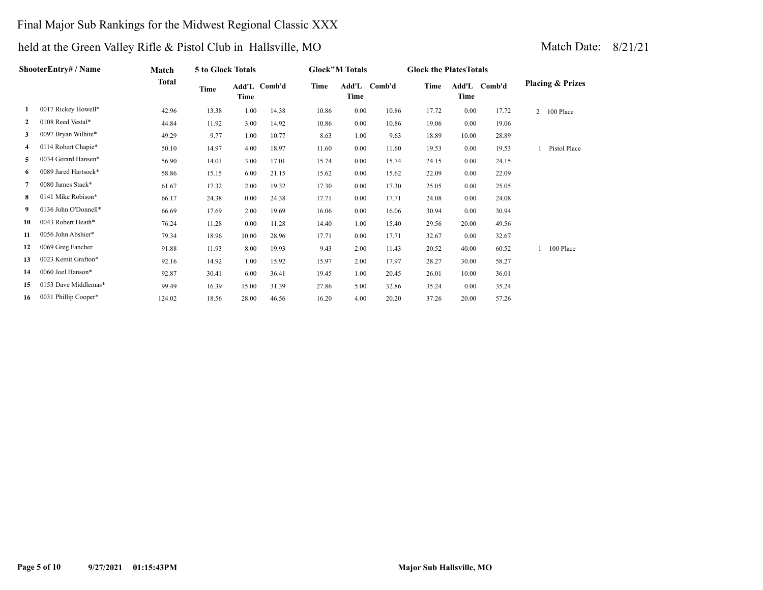### Final Major Sub Rankings for the Midwest Regional Classic XXX

|              | ShooterEntry# / Name | Match        | 5 to Glock Totals |       |              |       | <b>Glock"M Totals</b> |              | <b>Glock the Plates Totals</b> |       |              |                             |  |
|--------------|----------------------|--------------|-------------------|-------|--------------|-------|-----------------------|--------------|--------------------------------|-------|--------------|-----------------------------|--|
|              |                      | <b>Total</b> | Time              | Time  | Add'L Comb'd | Time  | Time                  | Add'L Comb'd | Time                           | Time  | Add'L Comb'd | <b>Placing &amp; Prizes</b> |  |
| 1            | 0017 Rickey Howell*  | 42.96        | 13.38             | 1.00  | 14.38        | 10.86 | 0.00                  | 10.86        | 17.72                          | 0.00  | 17.72        | $\overline{2}$<br>100 Place |  |
| $\mathbf{2}$ | 0108 Reed Vestal*    | 44.84        | 11.92             | 3.00  | 14.92        | 10.86 | 0.00                  | 10.86        | 19.06                          | 0.00  | 19.06        |                             |  |
| 3            | 0097 Bryan Wilhite*  | 49.29        | 9.77              | 1.00  | 10.77        | 8.63  | 1.00                  | 9.63         | 18.89                          | 10.00 | 28.89        |                             |  |
| 4            | 0114 Robert Chapie*  | 50.10        | 14.97             | 4.00  | 18.97        | 11.60 | 0.00                  | 11.60        | 19.53                          | 0.00  | 19.53        | Pistol Place                |  |
| 5            | 0034 Gerard Hansen*  | 56.90        | 14.01             | 3.00  | 17.01        | 15.74 | 0.00                  | 15.74        | 24.15                          | 0.00  | 24.15        |                             |  |
| 6            | 0089 Jared Hartsock* | 58.86        | 15.15             | 6.00  | 21.15        | 15.62 | 0.00                  | 15.62        | 22.09                          | 0.00  | 22.09        |                             |  |
| 7            | 0080 James Stack*    | 61.67        | 17.32             | 2.00  | 19.32        | 17.30 | 0.00                  | 17.30        | 25.05                          | 0.00  | 25.05        |                             |  |
| 8            | 0141 Mike Robison*   | 66.17        | 24.38             | 0.00  | 24.38        | 17.71 | 0.00                  | 17.71        | 24.08                          | 0.00  | 24.08        |                             |  |
| 9.           | 0136 John O'Donnell* | 66.69        | 17.69             | 2.00  | 19.69        | 16.06 | 0.00                  | 16.06        | 30.94                          | 0.00  | 30.94        |                             |  |
| 10           | 0043 Robert Heath*   | 76.24        | 11.28             | 0.00  | 11.28        | 14.40 | 1.00                  | 15.40        | 29.56                          | 20.00 | 49.56        |                             |  |
| 11           | 0056 John Abshier*   | 79.34        | 18.96             | 10.00 | 28.96        | 17.71 | 0.00                  | 17.71        | 32.67                          | 0.00  | 32.67        |                             |  |
| 12           | 0069 Greg Fancher    | 91.88        | 11.93             | 8.00  | 19.93        | 9.43  | 2.00                  | 11.43        | 20.52                          | 40.00 | 60.52        | 100 Place                   |  |
| 13           | 0023 Kemit Grafton*  | 92.16        | 14.92             | 1.00  | 15.92        | 15.97 | 2.00                  | 17.97        | 28.27                          | 30.00 | 58.27        |                             |  |
| 14           | 0060 Joel Hanson*    | 92.87        | 30.41             | 6.00  | 36.41        | 19.45 | 1.00                  | 20.45        | 26.01                          | 10.00 | 36.01        |                             |  |
| 15           | 0153 Dave Middlemas* | 99.49        | 16.39             | 15.00 | 31.39        | 27.86 | 5.00                  | 32.86        | 35.24                          | 0.00  | 35.24        |                             |  |
| 16           | 0031 Phillip Cooper* | 124.02       | 18.56             | 28.00 | 46.56        | 16.20 | 4.00                  | 20.20        | 37.26                          | 20.00 | 57.26        |                             |  |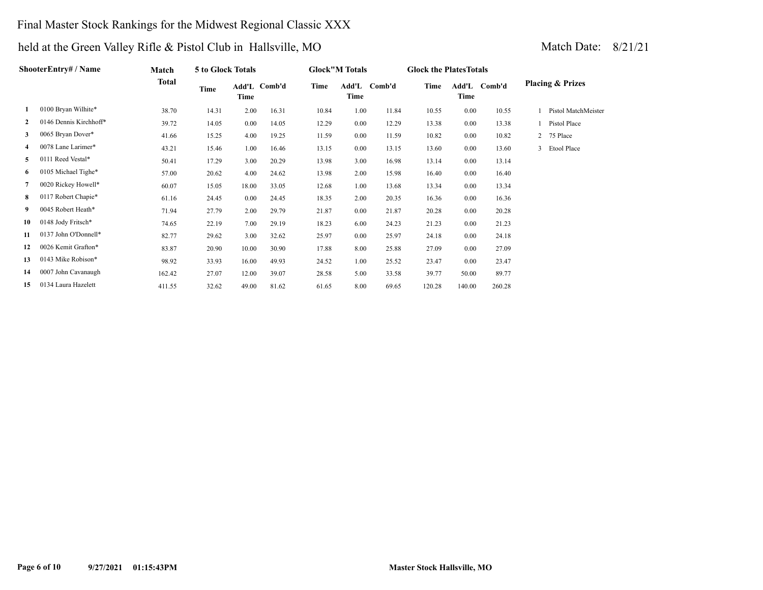### Final Master Stock Rankings for the Midwest Regional Classic XXX

|              | ShooterEntry# / Name   | Match  | 5 to Glock Totals |          |              |       | <b>Glock"M Totals</b> |        | <b>Glock the Plates Totals</b> |               |        |                             |                       |
|--------------|------------------------|--------|-------------------|----------|--------------|-------|-----------------------|--------|--------------------------------|---------------|--------|-----------------------------|-----------------------|
|              |                        | Total  | Time              | Time     | Add'L Comb'd | Time  | Add'L<br>Time         | Comb'd | Time                           | Add'L<br>Time | Comb'd | <b>Placing &amp; Prizes</b> |                       |
| 1            | 0100 Bryan Wilhite*    | 38.70  | 14.31             | 2.00     | 16.31        | 10.84 | 1.00                  | 11.84  | 10.55                          | 0.00          | 10.55  |                             | 1 Pistol MatchMeister |
| $\mathbf{2}$ | 0146 Dennis Kirchhoff* | 39.72  | 14.05             | $0.00\,$ | 14.05        | 12.29 | 0.00                  | 12.29  | 13.38                          | 0.00          | 13.38  | 1 Pistol Place              |                       |
| 3            | 0065 Bryan Dover*      | 41.66  | 15.25             | 4.00     | 19.25        | 11.59 | 0.00                  | 11.59  | 10.82                          | 0.00          | 10.82  | 2 75 Place                  |                       |
| 4            | 0078 Lane Larimer*     | 43.21  | 15.46             | 1.00     | 16.46        | 13.15 | 0.00                  | 13.15  | 13.60                          | 0.00          | 13.60  | 3 Etool Place               |                       |
| 5.           | 0111 Reed Vestal*      | 50.41  | 17.29             | 3.00     | 20.29        | 13.98 | 3.00                  | 16.98  | 13.14                          | 0.00          | 13.14  |                             |                       |
| 6.           | 0105 Michael Tighe*    | 57.00  | 20.62             | 4.00     | 24.62        | 13.98 | 2.00                  | 15.98  | 16.40                          | 0.00          | 16.40  |                             |                       |
|              | 0020 Rickey Howell*    | 60.07  | 15.05             | 18.00    | 33.05        | 12.68 | 1.00                  | 13.68  | 13.34                          | 0.00          | 13.34  |                             |                       |
| 8            | 0117 Robert Chapie*    | 61.16  | 24.45             | 0.00     | 24.45        | 18.35 | 2.00                  | 20.35  | 16.36                          | 0.00          | 16.36  |                             |                       |
| 9            | 0045 Robert Heath*     | 71.94  | 27.79             | 2.00     | 29.79        | 21.87 | 0.00                  | 21.87  | 20.28                          | 0.00          | 20.28  |                             |                       |
| 10           | 0148 Jody Fritsch*     | 74.65  | 22.19             | 7.00     | 29.19        | 18.23 | 6.00                  | 24.23  | 21.23                          | 0.00          | 21.23  |                             |                       |
| 11           | 0137 John O'Donnell*   | 82.77  | 29.62             | 3.00     | 32.62        | 25.97 | 0.00                  | 25.97  | 24.18                          | 0.00          | 24.18  |                             |                       |
| 12           | 0026 Kemit Grafton*    | 83.87  | 20.90             | 10.00    | 30.90        | 17.88 | 8.00                  | 25.88  | 27.09                          | 0.00          | 27.09  |                             |                       |
| 13           | 0143 Mike Robison*     | 98.92  | 33.93             | 16.00    | 49.93        | 24.52 | 1.00                  | 25.52  | 23.47                          | 0.00          | 23.47  |                             |                       |
| 14           | 0007 John Cavanaugh    | 162.42 | 27.07             | 12.00    | 39.07        | 28.58 | 5.00                  | 33.58  | 39.77                          | 50.00         | 89.77  |                             |                       |
| 15           | 0134 Laura Hazelett    | 411.55 | 32.62             | 49.00    | 81.62        | 61.65 | 8.00                  | 69.65  | 120.28                         | 140.00        | 260.28 |                             |                       |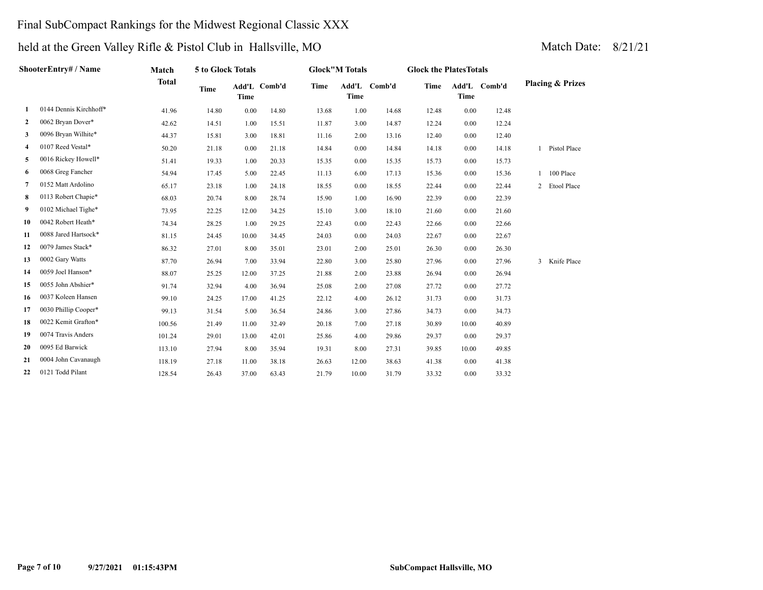### Final SubCompact Rankings for the Midwest Regional Classic XXX

|              | ShooterEntry# / Name   | Match        | 5 to Glock Totals |             |              |       | <b>Glock"M Totals</b> |        | <b>Glock the PlatesTotals</b> |             |              |                             |  |
|--------------|------------------------|--------------|-------------------|-------------|--------------|-------|-----------------------|--------|-------------------------------|-------------|--------------|-----------------------------|--|
|              |                        | <b>Total</b> | <b>Time</b>       | <b>Time</b> | Add'L Comb'd | Time  | Add'L<br><b>Time</b>  | Comb'd | <b>Time</b>                   | <b>Time</b> | Add'L Comb'd | <b>Placing &amp; Prizes</b> |  |
| 1            | 0144 Dennis Kirchhoff* | 41.96        | 14.80             | 0.00        | 14.80        | 13.68 | 1.00                  | 14.68  | 12.48                         | 0.00        | 12.48        |                             |  |
| $\mathbf{2}$ | 0062 Bryan Dover*      | 42.62        | 14.51             | 1.00        | 15.51        | 11.87 | 3.00                  | 14.87  | 12.24                         | 0.00        | 12.24        |                             |  |
| 3            | 0096 Bryan Wilhite*    | 44.37        | 15.81             | 3.00        | 18.81        | 11.16 | 2.00                  | 13.16  | 12.40                         | 0.00        | 12.40        |                             |  |
| 4            | 0107 Reed Vestal*      | 50.20        | 21.18             | 0.00        | 21.18        | 14.84 | 0.00                  | 14.84  | 14.18                         | 0.00        | 14.18        | Pistol Place                |  |
| 5            | 0016 Rickey Howell*    | 51.41        | 19.33             | 1.00        | 20.33        | 15.35 | 0.00                  | 15.35  | 15.73                         | 0.00        | 15.73        |                             |  |
| 6            | 0068 Greg Fancher      | 54.94        | 17.45             | 5.00        | 22.45        | 11.13 | 6.00                  | 17.13  | 15.36                         | 0.00        | 15.36        | 100 Place                   |  |
| 7            | 0152 Matt Ardolino     | 65.17        | 23.18             | 1.00        | 24.18        | 18.55 | 0.00                  | 18.55  | 22.44                         | 0.00        | 22.44        | 2 Etool Place               |  |
| 8            | 0113 Robert Chapie*    | 68.03        | 20.74             | 8.00        | 28.74        | 15.90 | 1.00                  | 16.90  | 22.39                         | 0.00        | 22.39        |                             |  |
| 9            | 0102 Michael Tighe*    | 73.95        | 22.25             | 12.00       | 34.25        | 15.10 | 3.00                  | 18.10  | 21.60                         | 0.00        | 21.60        |                             |  |
| 10           | 0042 Robert Heath*     | 74.34        | 28.25             | 1.00        | 29.25        | 22.43 | 0.00                  | 22.43  | 22.66                         | 0.00        | 22.66        |                             |  |
| 11           | 0088 Jared Hartsock*   | 81.15        | 24.45             | 10.00       | 34.45        | 24.03 | 0.00                  | 24.03  | 22.67                         | 0.00        | 22.67        |                             |  |
| 12           | 0079 James Stack*      | 86.32        | 27.01             | 8.00        | 35.01        | 23.01 | 2.00                  | 25.01  | 26.30                         | 0.00        | 26.30        |                             |  |
| 13           | 0002 Gary Watts        | 87.70        | 26.94             | 7.00        | 33.94        | 22.80 | 3.00                  | 25.80  | 27.96                         | 0.00        | 27.96        | Knife Place<br>3            |  |
| 14           | 0059 Joel Hanson*      | 88.07        | 25.25             | 12.00       | 37.25        | 21.88 | 2.00                  | 23.88  | 26.94                         | 0.00        | 26.94        |                             |  |
| 15           | 0055 John Abshier*     | 91.74        | 32.94             | 4.00        | 36.94        | 25.08 | 2.00                  | 27.08  | 27.72                         | 0.00        | 27.72        |                             |  |
| 16           | 0037 Koleen Hansen     | 99.10        | 24.25             | 17.00       | 41.25        | 22.12 | 4.00                  | 26.12  | 31.73                         | 0.00        | 31.73        |                             |  |
| 17           | 0030 Phillip Cooper*   | 99.13        | 31.54             | 5.00        | 36.54        | 24.86 | 3.00                  | 27.86  | 34.73                         | 0.00        | 34.73        |                             |  |
| 18           | 0022 Kemit Grafton*    | 100.56       | 21.49             | 11.00       | 32.49        | 20.18 | 7.00                  | 27.18  | 30.89                         | 10.00       | 40.89        |                             |  |
| 19           | 0074 Travis Anders     | 101.24       | 29.01             | 13.00       | 42.01        | 25.86 | 4.00                  | 29.86  | 29.37                         | 0.00        | 29.37        |                             |  |
| 20           | 0095 Ed Barwick        | 113.10       | 27.94             | 8.00        | 35.94        | 19.31 | 8.00                  | 27.31  | 39.85                         | 10.00       | 49.85        |                             |  |
| 21           | 0004 John Cavanaugh    | 118.19       | 27.18             | 11.00       | 38.18        | 26.63 | 12.00                 | 38.63  | 41.38                         | 0.00        | 41.38        |                             |  |
| 22           | 0121 Todd Pilant       | 128.54       | 26.43             | 37.00       | 63.43        | 21.79 | 10.00                 | 31.79  | 33.32                         | 0.00        | 33.32        |                             |  |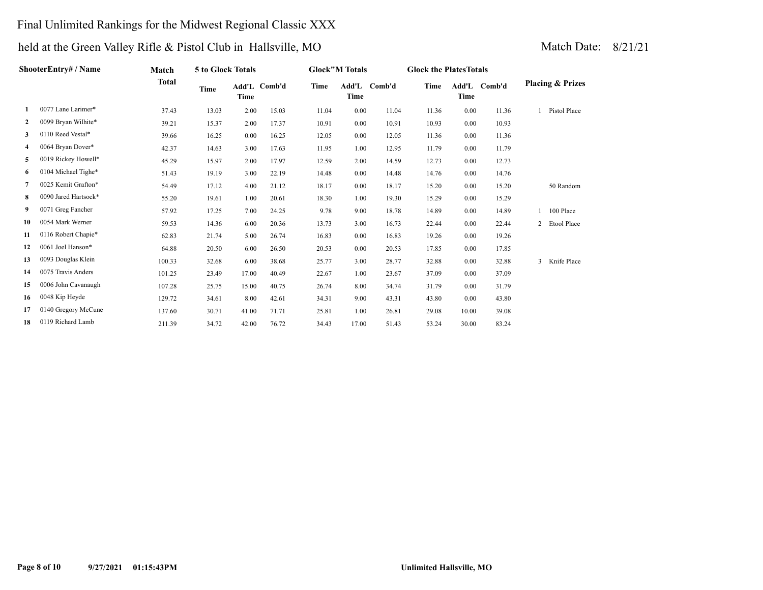### Final Unlimited Rankings for the Midwest Regional Classic XXX

|              | ShooterEntry# / Name | Match        | 5 to Glock Totals |             |              |       | <b>Glock"M Totals</b> |              | <b>Glock the PlatesTotals</b> |       |              |                             |
|--------------|----------------------|--------------|-------------------|-------------|--------------|-------|-----------------------|--------------|-------------------------------|-------|--------------|-----------------------------|
|              |                      | <b>Total</b> | Time              | <b>Time</b> | Add'L Comb'd | Time  | Time                  | Add'L Comb'd | <b>Time</b>                   | Time  | Add'L Comb'd | <b>Placing &amp; Prizes</b> |
| 1            | 0077 Lane Larimer*   | 37.43        | 13.03             | 2.00        | 15.03        | 11.04 | 0.00                  | 11.04        | 11.36                         | 0.00  | 11.36        | Pistol Place                |
| $\mathbf{2}$ | 0099 Bryan Wilhite*  | 39.21        | 15.37             | 2.00        | 17.37        | 10.91 | 0.00                  | 10.91        | 10.93                         | 0.00  | 10.93        |                             |
| 3            | 0110 Reed Vestal*    | 39.66        | 16.25             | 0.00        | 16.25        | 12.05 | 0.00                  | 12.05        | 11.36                         | 0.00  | 11.36        |                             |
| 4            | 0064 Bryan Dover*    | 42.37        | 14.63             | 3.00        | 17.63        | 11.95 | 1.00                  | 12.95        | 11.79                         | 0.00  | 11.79        |                             |
| 5            | 0019 Rickey Howell*  | 45.29        | 15.97             | 2.00        | 17.97        | 12.59 | 2.00                  | 14.59        | 12.73                         | 0.00  | 12.73        |                             |
| 6            | 0104 Michael Tighe*  | 51.43        | 19.19             | 3.00        | 22.19        | 14.48 | 0.00                  | 14.48        | 14.76                         | 0.00  | 14.76        |                             |
| 7            | 0025 Kemit Grafton*  | 54.49        | 17.12             | 4.00        | 21.12        | 18.17 | 0.00                  | 18.17        | 15.20                         | 0.00  | 15.20        | 50 Random                   |
| 8            | 0090 Jared Hartsock* | 55.20        | 19.61             | 1.00        | 20.61        | 18.30 | 1.00                  | 19.30        | 15.29                         | 0.00  | 15.29        |                             |
| 9            | 0071 Greg Fancher    | 57.92        | 17.25             | 7.00        | 24.25        | 9.78  | 9.00                  | 18.78        | 14.89                         | 0.00  | 14.89        | 100 Place                   |
| 10           | 0054 Mark Werner     | 59.53        | 14.36             | 6.00        | 20.36        | 13.73 | 3.00                  | 16.73        | 22.44                         | 0.00  | 22.44        | 2 Etool Place               |
| 11           | 0116 Robert Chapie*  | 62.83        | 21.74             | 5.00        | 26.74        | 16.83 | 0.00                  | 16.83        | 19.26                         | 0.00  | 19.26        |                             |
| 12           | 0061 Joel Hanson*    | 64.88        | 20.50             | 6.00        | 26.50        | 20.53 | 0.00                  | 20.53        | 17.85                         | 0.00  | 17.85        |                             |
| 13           | 0093 Douglas Klein   | 100.33       | 32.68             | 6.00        | 38.68        | 25.77 | 3.00                  | 28.77        | 32.88                         | 0.00  | 32.88        | 3 Knife Place               |
| 14           | 0075 Travis Anders   | 101.25       | 23.49             | 17.00       | 40.49        | 22.67 | 1.00                  | 23.67        | 37.09                         | 0.00  | 37.09        |                             |
| 15           | 0006 John Cavanaugh  | 107.28       | 25.75             | 15.00       | 40.75        | 26.74 | 8.00                  | 34.74        | 31.79                         | 0.00  | 31.79        |                             |
| 16           | 0048 Kip Heyde       | 129.72       | 34.61             | 8.00        | 42.61        | 34.31 | 9.00                  | 43.31        | 43.80                         | 0.00  | 43.80        |                             |
| 17           | 0140 Gregory McCune  | 137.60       | 30.71             | 41.00       | 71.71        | 25.81 | 1.00                  | 26.81        | 29.08                         | 10.00 | 39.08        |                             |
| 18           | 0119 Richard Lamb    | 211.39       | 34.72             | 42.00       | 76.72        | 34.43 | 17.00                 | 51.43        | 53.24                         | 30.00 | 83.24        |                             |